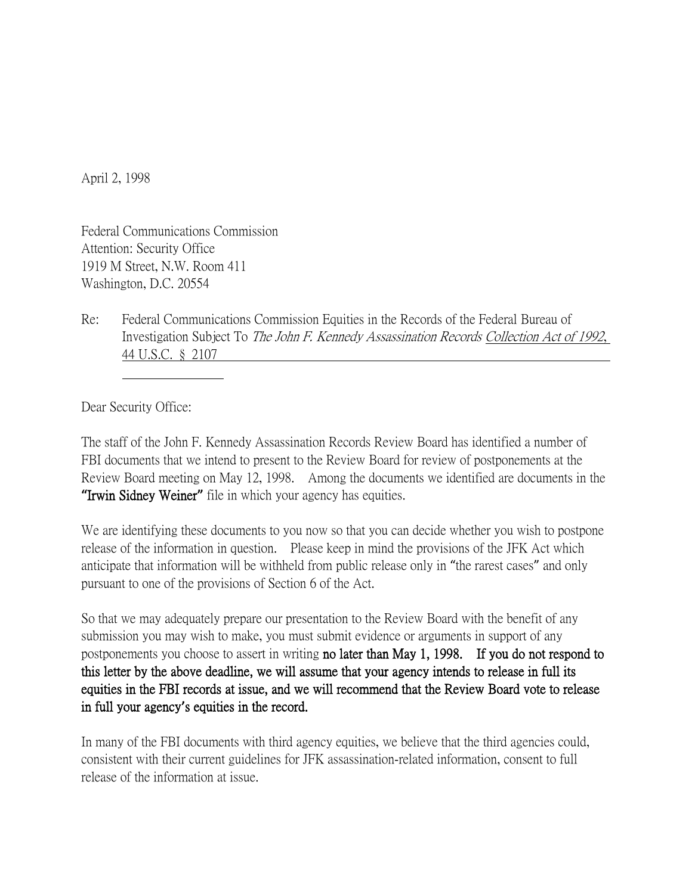April 2, 1998

Federal Communications Commission Attention: Security Office 1919 M Street, N.W. Room 411 Washington, D.C. 20554

Re: Federal Communications Commission Equities in the Records of the Federal Bureau of Investigation Subject To The John F. Kennedy Assassination Records Collection Act of 1992, 44 U.S.C. § 2107

Dear Security Office:

The staff of the John F. Kennedy Assassination Records Review Board has identified a number of FBI documents that we intend to present to the Review Board for review of postponements at the Review Board meeting on May 12, 1998. Among the documents we identified are documents in the **"**Irwin Sidney Weiner**"** file in which your agency has equities.

We are identifying these documents to you now so that you can decide whether you wish to postpone release of the information in question. Please keep in mind the provisions of the JFK Act which anticipate that information will be withheld from public release only in "the rarest cases" and only pursuant to one of the provisions of Section 6 of the Act.

So that we may adequately prepare our presentation to the Review Board with the benefit of any submission you may wish to make, you must submit evidence or arguments in support of any postponements you choose to assert in writing no later than May 1, 1998. If you do not respond to this letter by the above deadline, we will assume that your agency intends to release in full its equities in the FBI records at issue, and we will recommend that the Review Board vote to release in full your agency**'**s equities in the record.

In many of the FBI documents with third agency equities, we believe that the third agencies could, consistent with their current guidelines for JFK assassination-related information, consent to full release of the information at issue.